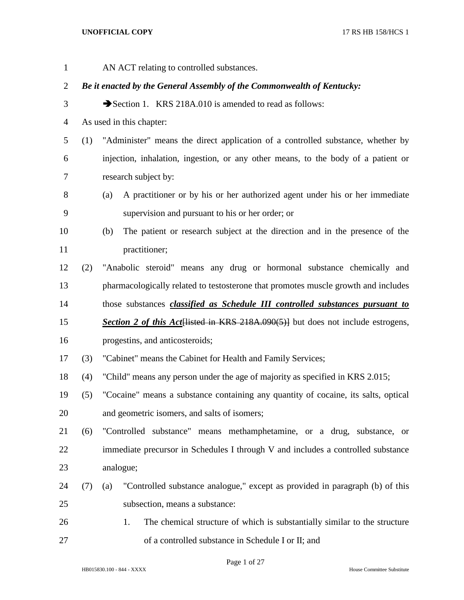| $\mathbf{1}$   |     | AN ACT relating to controlled substances.                                            |
|----------------|-----|--------------------------------------------------------------------------------------|
| $\overline{2}$ |     | Be it enacted by the General Assembly of the Commonwealth of Kentucky:               |
| 3              |     | Section 1. KRS 218A.010 is amended to read as follows:                               |
| $\overline{4}$ |     | As used in this chapter:                                                             |
| 5              | (1) | "Administer" means the direct application of a controlled substance, whether by      |
| 6              |     | injection, inhalation, ingestion, or any other means, to the body of a patient or    |
| 7              |     | research subject by:                                                                 |
| 8              |     | A practitioner or by his or her authorized agent under his or her immediate<br>(a)   |
| 9              |     | supervision and pursuant to his or her order; or                                     |
| 10             |     | The patient or research subject at the direction and in the presence of the<br>(b)   |
| 11             |     | practitioner;                                                                        |
| 12             | (2) | "Anabolic steroid" means any drug or hormonal substance chemically and               |
| 13             |     | pharmacologically related to testosterone that promotes muscle growth and includes   |
| 14             |     | those substances <i>classified as Schedule III controlled substances pursuant to</i> |
| 15             |     | Section 2 of this Act Histed in KRS 218A.090(5)] but does not include estrogens,     |
| 16             |     | progestins, and anticosteroids;                                                      |
| 17             | (3) | "Cabinet" means the Cabinet for Health and Family Services;                          |
| 18             | (4) | "Child" means any person under the age of majority as specified in KRS 2.015;        |
| 19             | (5) | "Cocaine" means a substance containing any quantity of cocaine, its salts, optical   |
| 20             |     | and geometric isomers, and salts of isomers;                                         |
| 21             | (6) | "Controlled substance" means methamphetamine, or a drug, substance, or               |
| 22             |     | immediate precursor in Schedules I through V and includes a controlled substance     |
| 23             |     | analogue;                                                                            |
| 24             | (7) | "Controlled substance analogue," except as provided in paragraph (b) of this<br>(a)  |
| 25             |     | subsection, means a substance:                                                       |
| 26             |     | The chemical structure of which is substantially similar to the structure<br>1.      |
| 27             |     | of a controlled substance in Schedule I or II; and                                   |

Page 1 of 27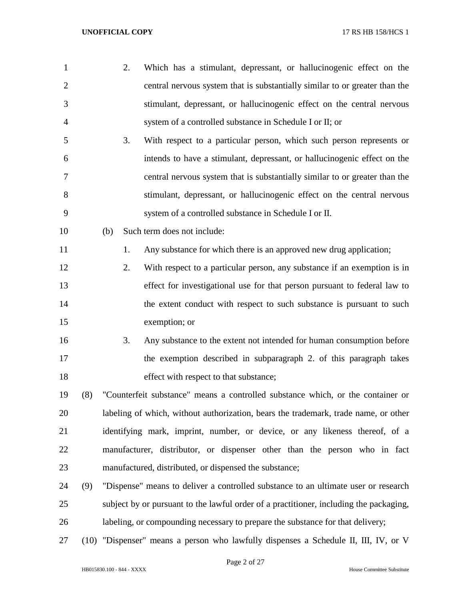| $\mathbf{1}$ |     | 2.  | Which has a stimulant, depressant, or hallucinogenic effect on the                     |
|--------------|-----|-----|----------------------------------------------------------------------------------------|
| $\mathbf{2}$ |     |     | central nervous system that is substantially similar to or greater than the            |
| 3            |     |     | stimulant, depressant, or hallucinogenic effect on the central nervous                 |
| 4            |     |     | system of a controlled substance in Schedule I or II; or                               |
| 5            |     | 3.  | With respect to a particular person, which such person represents or                   |
| 6            |     |     | intends to have a stimulant, depressant, or hallucinogenic effect on the               |
| 7            |     |     | central nervous system that is substantially similar to or greater than the            |
| 8            |     |     | stimulant, depressant, or hallucinogenic effect on the central nervous                 |
| 9            |     |     | system of a controlled substance in Schedule I or II.                                  |
| 10           |     | (b) | Such term does not include:                                                            |
| 11           |     | 1.  | Any substance for which there is an approved new drug application;                     |
| 12           |     | 2.  | With respect to a particular person, any substance if an exemption is in               |
| 13           |     |     | effect for investigational use for that person pursuant to federal law to              |
| 14           |     |     | the extent conduct with respect to such substance is pursuant to such                  |
| 15           |     |     | exemption; or                                                                          |
| 16           |     | 3.  | Any substance to the extent not intended for human consumption before                  |
| 17           |     |     | the exemption described in subparagraph 2. of this paragraph takes                     |
| 18           |     |     | effect with respect to that substance;                                                 |
| 19           | (8) |     | "Counterfeit substance" means a controlled substance which, or the container or        |
| 20           |     |     | labeling of which, without authorization, bears the trademark, trade name, or other    |
| 21           |     |     | identifying mark, imprint, number, or device, or any likeness thereof, of a            |
| 22           |     |     | manufacturer, distributor, or dispenser other than the person who in fact              |
| 23           |     |     | manufactured, distributed, or dispensed the substance;                                 |
| 24           | (9) |     | "Dispense" means to deliver a controlled substance to an ultimate user or research     |
| 25           |     |     | subject by or pursuant to the lawful order of a practitioner, including the packaging, |
| 26           |     |     | labeling, or compounding necessary to prepare the substance for that delivery;         |
| 27           |     |     | (10) "Dispenser" means a person who lawfully dispenses a Schedule II, III, IV, or V    |

Page 2 of 27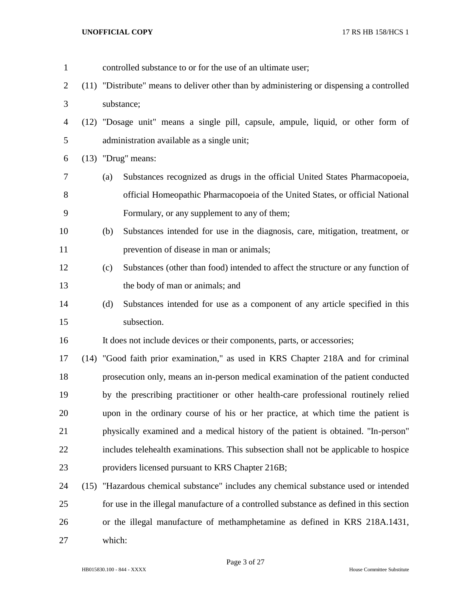controlled substance to or for the use of an ultimate user; (11) "Distribute" means to deliver other than by administering or dispensing a controlled substance; (12) "Dosage unit" means a single pill, capsule, ampule, liquid, or other form of administration available as a single unit; (13) "Drug" means: (a) Substances recognized as drugs in the official United States Pharmacopoeia, official Homeopathic Pharmacopoeia of the United States, or official National Formulary, or any supplement to any of them; (b) Substances intended for use in the diagnosis, care, mitigation, treatment, or prevention of disease in man or animals; (c) Substances (other than food) intended to affect the structure or any function of the body of man or animals; and (d) Substances intended for use as a component of any article specified in this subsection. It does not include devices or their components, parts, or accessories; (14) "Good faith prior examination," as used in KRS Chapter 218A and for criminal prosecution only, means an in-person medical examination of the patient conducted by the prescribing practitioner or other health-care professional routinely relied upon in the ordinary course of his or her practice, at which time the patient is physically examined and a medical history of the patient is obtained. "In-person" includes telehealth examinations. This subsection shall not be applicable to hospice providers licensed pursuant to KRS Chapter 216B; (15) "Hazardous chemical substance" includes any chemical substance used or intended for use in the illegal manufacture of a controlled substance as defined in this section or the illegal manufacture of methamphetamine as defined in KRS 218A.1431, which:

Page 3 of 27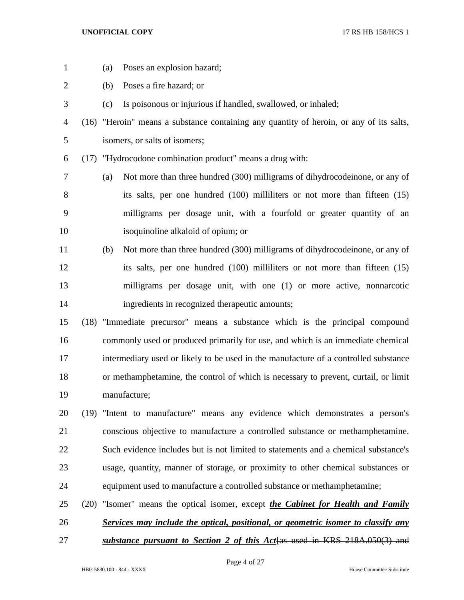- 
- (a) Poses an explosion hazard;
- (b) Poses a fire hazard; or
- (c) Is poisonous or injurious if handled, swallowed, or inhaled;
- (16) "Heroin" means a substance containing any quantity of heroin, or any of its salts, isomers, or salts of isomers;
- (17) "Hydrocodone combination product" means a drug with:
- (a) Not more than three hundred (300) milligrams of dihydrocodeinone, or any of its salts, per one hundred (100) milliliters or not more than fifteen (15) milligrams per dosage unit, with a fourfold or greater quantity of an isoquinoline alkaloid of opium; or
- (b) Not more than three hundred (300) milligrams of dihydrocodeinone, or any of its salts, per one hundred (100) milliliters or not more than fifteen (15) milligrams per dosage unit, with one (1) or more active, nonnarcotic ingredients in recognized therapeutic amounts;

 (18) "Immediate precursor" means a substance which is the principal compound commonly used or produced primarily for use, and which is an immediate chemical intermediary used or likely to be used in the manufacture of a controlled substance or methamphetamine, the control of which is necessary to prevent, curtail, or limit manufacture;

 (19) "Intent to manufacture" means any evidence which demonstrates a person's conscious objective to manufacture a controlled substance or methamphetamine. Such evidence includes but is not limited to statements and a chemical substance's usage, quantity, manner of storage, or proximity to other chemical substances or equipment used to manufacture a controlled substance or methamphetamine;

- (20) "Isomer" means the optical isomer, except *the Cabinet for Health and Family Services may include the optical, positional, or geometric isomer to classify any*
- *substance pursuant to Section 2 of this Act*[as used in KRS 218A.050(3) and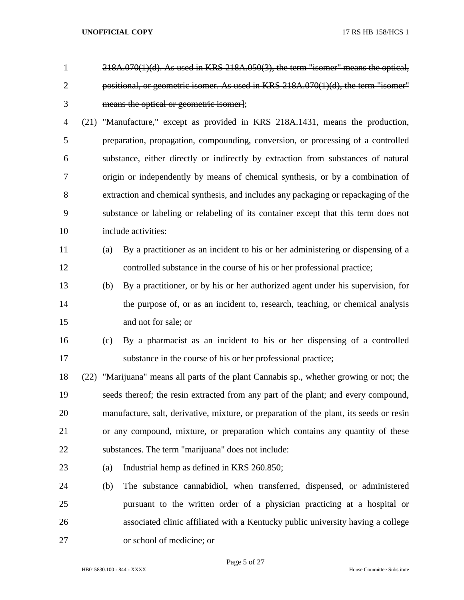| $\mathbf{1}$   |     | $218A.070(1)(d)$ . As used in KRS $218A.050(3)$ , the term "isomer" means the optical,  |
|----------------|-----|-----------------------------------------------------------------------------------------|
| $\overline{2}$ |     | positional, or geometric isomer. As used in KRS 218A.070(1)(d), the term "isomer"       |
| 3              |     | means the optical or geometric isomer];                                                 |
| $\overline{4}$ |     | (21) "Manufacture," except as provided in KRS 218A.1431, means the production,          |
| 5              |     | preparation, propagation, compounding, conversion, or processing of a controlled        |
| 6              |     | substance, either directly or indirectly by extraction from substances of natural       |
| 7              |     | origin or independently by means of chemical synthesis, or by a combination of          |
| 8              |     | extraction and chemical synthesis, and includes any packaging or repackaging of the     |
| 9              |     | substance or labeling or relabeling of its container except that this term does not     |
| 10             |     | include activities:                                                                     |
| 11             | (a) | By a practitioner as an incident to his or her administering or dispensing of a         |
| 12             |     | controlled substance in the course of his or her professional practice;                 |
| 13             | (b) | By a practitioner, or by his or her authorized agent under his supervision, for         |
| 14             |     | the purpose of, or as an incident to, research, teaching, or chemical analysis          |
| 15             |     | and not for sale; or                                                                    |
| 16             | (c) | By a pharmacist as an incident to his or her dispensing of a controlled                 |
| 17             |     | substance in the course of his or her professional practice;                            |
| 18             |     | (22) "Marijuana" means all parts of the plant Cannabis sp., whether growing or not; the |
| 19             |     | seeds thereof; the resin extracted from any part of the plant; and every compound,      |
| 20             |     | manufacture, salt, derivative, mixture, or preparation of the plant, its seeds or resin |
| 21             |     | or any compound, mixture, or preparation which contains any quantity of these           |
| 22             |     | substances. The term "marijuana" does not include:                                      |
| 23             | (a) | Industrial hemp as defined in KRS 260.850;                                              |
| 24             | (b) | The substance cannabidiol, when transferred, dispensed, or administered                 |
| 25             |     | pursuant to the written order of a physician practicing at a hospital or                |
| 26             |     | associated clinic affiliated with a Kentucky public university having a college         |
| 27             |     | or school of medicine; or                                                               |

Page 5 of 27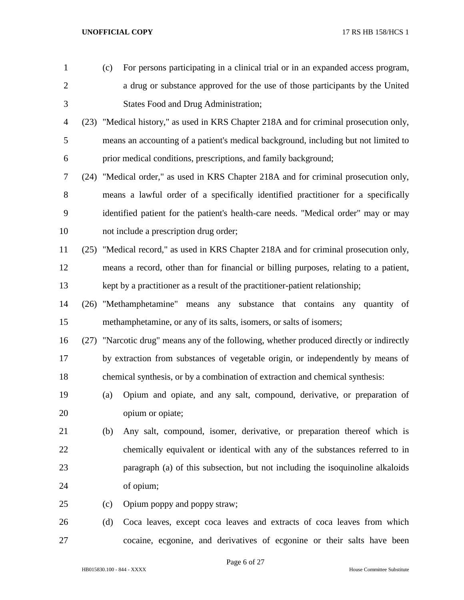| $\mathbf{1}$   | (c) | For persons participating in a clinical trial or in an expanded access program,          |
|----------------|-----|------------------------------------------------------------------------------------------|
| $\overline{2}$ |     | a drug or substance approved for the use of those participants by the United             |
| 3              |     | <b>States Food and Drug Administration;</b>                                              |
| $\overline{4}$ |     | (23) "Medical history," as used in KRS Chapter 218A and for criminal prosecution only,   |
| 5              |     | means an accounting of a patient's medical background, including but not limited to      |
| 6              |     | prior medical conditions, prescriptions, and family background;                          |
| $\tau$         |     | (24) "Medical order," as used in KRS Chapter 218A and for criminal prosecution only,     |
| 8              |     | means a lawful order of a specifically identified practitioner for a specifically        |
| 9              |     | identified patient for the patient's health-care needs. "Medical order" may or may       |
| 10             |     | not include a prescription drug order;                                                   |
| 11             |     | (25) "Medical record," as used in KRS Chapter 218A and for criminal prosecution only,    |
| 12             |     | means a record, other than for financial or billing purposes, relating to a patient,     |
| 13             |     | kept by a practitioner as a result of the practitioner-patient relationship;             |
| 14             |     | (26) "Methamphetamine" means<br>any substance that contains any quantity of              |
| 15             |     | methamphetamine, or any of its salts, isomers, or salts of isomers;                      |
| 16             |     | (27) "Narcotic drug" means any of the following, whether produced directly or indirectly |
| 17             |     | by extraction from substances of vegetable origin, or independently by means of          |
| 18             |     | chemical synthesis, or by a combination of extraction and chemical synthesis:            |
| 19             | (a) | Opium and opiate, and any salt, compound, derivative, or preparation of                  |
| 20             |     | opium or opiate;                                                                         |
| 21             | (b) | Any salt, compound, isomer, derivative, or preparation thereof which is                  |
| 22             |     | chemically equivalent or identical with any of the substances referred to in             |
| 23             |     | paragraph (a) of this subsection, but not including the isoquinoline alkaloids           |
| 24             |     | of opium;                                                                                |
| 25             | (c) | Opium poppy and poppy straw;                                                             |
| 26             | (d) | Coca leaves, except coca leaves and extracts of coca leaves from which                   |
| 27             |     | cocaine, ecgonine, and derivatives of ecgonine or their salts have been                  |

Page 6 of 27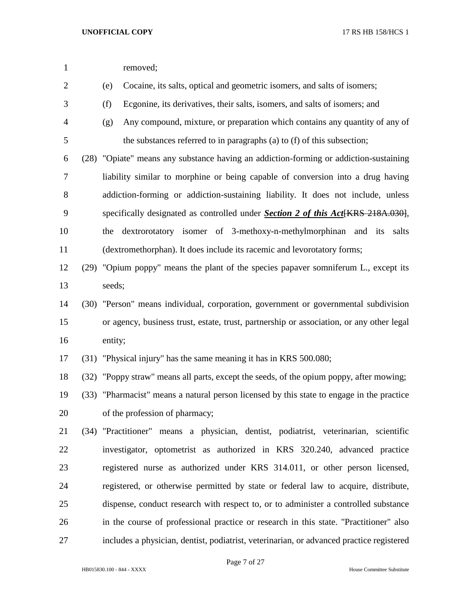| $\mathbf{1}$   |         | removed;                                                                                  |
|----------------|---------|-------------------------------------------------------------------------------------------|
| $\overline{2}$ | (e)     | Cocaine, its salts, optical and geometric isomers, and salts of isomers;                  |
| 3              | (f)     | Ecgonine, its derivatives, their salts, isomers, and salts of isomers; and                |
| $\overline{4}$ | (g)     | Any compound, mixture, or preparation which contains any quantity of any of               |
| 5              |         | the substances referred to in paragraphs (a) to (f) of this subsection;                   |
| 6              |         | (28) "Opiate" means any substance having an addiction-forming or addiction-sustaining     |
| 7              |         | liability similar to morphine or being capable of conversion into a drug having           |
| 8              |         | addiction-forming or addiction-sustaining liability. It does not include, unless          |
| 9              |         | specifically designated as controlled under Section 2 of this Act[KRS 218A.030],          |
| 10             | the     | dextrorotatory isomer of 3-methoxy-n-methylmorphinan and its<br>salts                     |
| 11             |         | (dextromethorphan). It does include its racemic and levorotatory forms;                   |
| 12             |         | (29) "Opium poppy" means the plant of the species papaver somniferum L., except its       |
| 13             | seeds;  |                                                                                           |
| 14             |         | (30) "Person" means individual, corporation, government or governmental subdivision       |
| 15             |         | or agency, business trust, estate, trust, partnership or association, or any other legal  |
| 16             | entity; |                                                                                           |
| 17             |         | (31) "Physical injury" has the same meaning it has in KRS 500.080;                        |
| 18             |         | (32) "Poppy straw" means all parts, except the seeds, of the opium poppy, after mowing;   |
| 19             |         | (33) "Pharmacist" means a natural person licensed by this state to engage in the practice |
| 20             |         | of the profession of pharmacy;                                                            |
| 21             |         | (34) "Practitioner" means a physician, dentist, podiatrist, veterinarian, scientific      |
| 22             |         | investigator, optometrist as authorized in KRS 320.240, advanced practice                 |
| 23             |         | registered nurse as authorized under KRS 314.011, or other person licensed,               |
| 24             |         | registered, or otherwise permitted by state or federal law to acquire, distribute,        |
| 25             |         | dispense, conduct research with respect to, or to administer a controlled substance       |
| 26             |         | in the course of professional practice or research in this state. "Practitioner" also     |
| 27             |         | includes a physician, dentist, podiatrist, veterinarian, or advanced practice registered  |
|                |         |                                                                                           |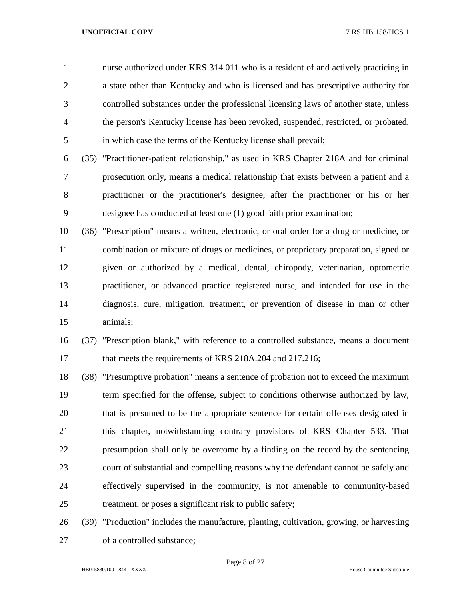nurse authorized under KRS 314.011 who is a resident of and actively practicing in a state other than Kentucky and who is licensed and has prescriptive authority for controlled substances under the professional licensing laws of another state, unless the person's Kentucky license has been revoked, suspended, restricted, or probated, in which case the terms of the Kentucky license shall prevail;

 (35) "Practitioner-patient relationship," as used in KRS Chapter 218A and for criminal prosecution only, means a medical relationship that exists between a patient and a practitioner or the practitioner's designee, after the practitioner or his or her designee has conducted at least one (1) good faith prior examination;

 (36) "Prescription" means a written, electronic, or oral order for a drug or medicine, or combination or mixture of drugs or medicines, or proprietary preparation, signed or given or authorized by a medical, dental, chiropody, veterinarian, optometric practitioner, or advanced practice registered nurse, and intended for use in the diagnosis, cure, mitigation, treatment, or prevention of disease in man or other animals;

 (37) "Prescription blank," with reference to a controlled substance, means a document 17 that meets the requirements of KRS 218A.204 and 217.216;

 (38) "Presumptive probation" means a sentence of probation not to exceed the maximum term specified for the offense, subject to conditions otherwise authorized by law, that is presumed to be the appropriate sentence for certain offenses designated in this chapter, notwithstanding contrary provisions of KRS Chapter 533. That presumption shall only be overcome by a finding on the record by the sentencing court of substantial and compelling reasons why the defendant cannot be safely and effectively supervised in the community, is not amenable to community-based treatment, or poses a significant risk to public safety;

 (39) "Production" includes the manufacture, planting, cultivation, growing, or harvesting of a controlled substance;

Page 8 of 27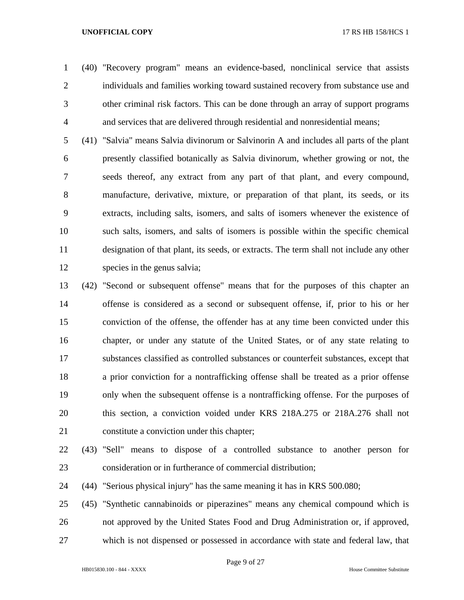(40) "Recovery program" means an evidence-based, nonclinical service that assists individuals and families working toward sustained recovery from substance use and other criminal risk factors. This can be done through an array of support programs and services that are delivered through residential and nonresidential means;

 (41) "Salvia" means Salvia divinorum or Salvinorin A and includes all parts of the plant presently classified botanically as Salvia divinorum, whether growing or not, the seeds thereof, any extract from any part of that plant, and every compound, manufacture, derivative, mixture, or preparation of that plant, its seeds, or its extracts, including salts, isomers, and salts of isomers whenever the existence of such salts, isomers, and salts of isomers is possible within the specific chemical designation of that plant, its seeds, or extracts. The term shall not include any other species in the genus salvia;

 (42) "Second or subsequent offense" means that for the purposes of this chapter an offense is considered as a second or subsequent offense, if, prior to his or her conviction of the offense, the offender has at any time been convicted under this chapter, or under any statute of the United States, or of any state relating to substances classified as controlled substances or counterfeit substances, except that a prior conviction for a nontrafficking offense shall be treated as a prior offense only when the subsequent offense is a nontrafficking offense. For the purposes of this section, a conviction voided under KRS 218A.275 or 218A.276 shall not constitute a conviction under this chapter;

- 
- (43) "Sell" means to dispose of a controlled substance to another person for consideration or in furtherance of commercial distribution;

(44) "Serious physical injury" has the same meaning it has in KRS 500.080;

 (45) "Synthetic cannabinoids or piperazines" means any chemical compound which is not approved by the United States Food and Drug Administration or, if approved, which is not dispensed or possessed in accordance with state and federal law, that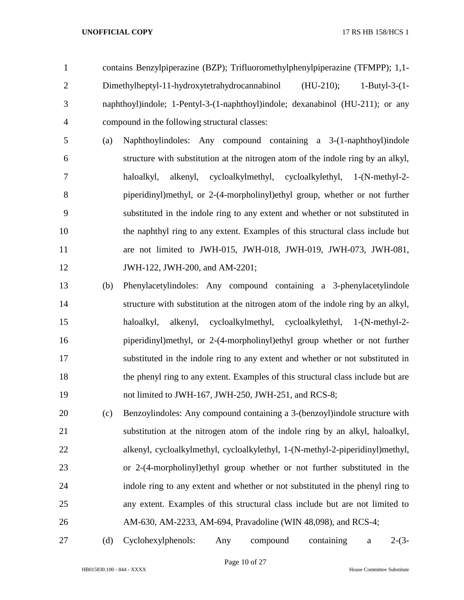contains Benzylpiperazine (BZP); Trifluoromethylphenylpiperazine (TFMPP); 1,1- Dimethylheptyl-11-hydroxytetrahydrocannabinol (HU-210); 1-Butyl-3-(1- naphthoyl)indole; 1-Pentyl-3-(1-naphthoyl)indole; dexanabinol (HU-211); or any compound in the following structural classes:

- (a) Naphthoylindoles: Any compound containing a 3-(1-naphthoyl)indole structure with substitution at the nitrogen atom of the indole ring by an alkyl, haloalkyl, alkenyl, cycloalkylmethyl, cycloalkylethyl, 1-(N-methyl-2- piperidinyl)methyl, or 2-(4-morpholinyl)ethyl group, whether or not further substituted in the indole ring to any extent and whether or not substituted in the naphthyl ring to any extent. Examples of this structural class include but are not limited to JWH-015, JWH-018, JWH-019, JWH-073, JWH-081, **JWH-122, JWH-200, and AM-2201;**
- (b) Phenylacetylindoles: Any compound containing a 3-phenylacetylindole structure with substitution at the nitrogen atom of the indole ring by an alkyl, haloalkyl, alkenyl, cycloalkylmethyl, cycloalkylethyl, 1-(N-methyl-2- piperidinyl)methyl, or 2-(4-morpholinyl)ethyl group whether or not further substituted in the indole ring to any extent and whether or not substituted in the phenyl ring to any extent. Examples of this structural class include but are not limited to JWH-167, JWH-250, JWH-251, and RCS-8;
- (c) Benzoylindoles: Any compound containing a 3-(benzoyl)indole structure with substitution at the nitrogen atom of the indole ring by an alkyl, haloalkyl, alkenyl, cycloalkylmethyl, cycloalkylethyl, 1-(N-methyl-2-piperidinyl)methyl, or 2-(4-morpholinyl)ethyl group whether or not further substituted in the indole ring to any extent and whether or not substituted in the phenyl ring to any extent. Examples of this structural class include but are not limited to AM-630, AM-2233, AM-694, Pravadoline (WIN 48,098), and RCS-4;
- 

(d) Cyclohexylphenols: Any compound containing a 2-(3-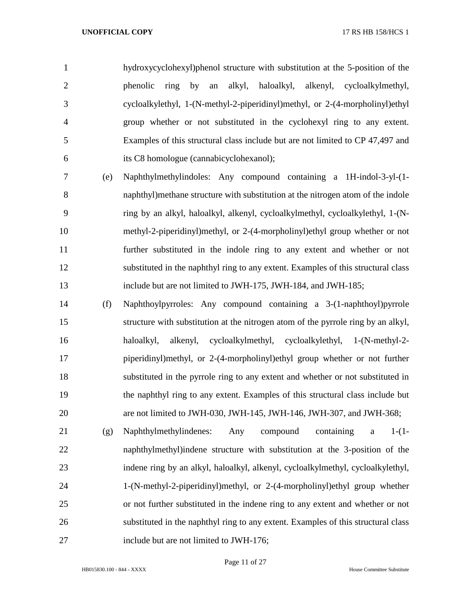hydroxycyclohexyl)phenol structure with substitution at the 5-position of the phenolic ring by an alkyl, haloalkyl, alkenyl, cycloalkylmethyl, cycloalkylethyl, 1-(N-methyl-2-piperidinyl)methyl, or 2-(4-morpholinyl)ethyl group whether or not substituted in the cyclohexyl ring to any extent. Examples of this structural class include but are not limited to CP 47,497 and its C8 homologue (cannabicyclohexanol);

 (e) Naphthylmethylindoles: Any compound containing a 1H-indol-3-yl-(1- naphthyl)methane structure with substitution at the nitrogen atom of the indole ring by an alkyl, haloalkyl, alkenyl, cycloalkylmethyl, cycloalkylethyl, 1-(N- methyl-2-piperidinyl)methyl, or 2-(4-morpholinyl)ethyl group whether or not further substituted in the indole ring to any extent and whether or not substituted in the naphthyl ring to any extent. Examples of this structural class include but are not limited to JWH-175, JWH-184, and JWH-185;

 (f) Naphthoylpyrroles: Any compound containing a 3-(1-naphthoyl)pyrrole structure with substitution at the nitrogen atom of the pyrrole ring by an alkyl, haloalkyl, alkenyl, cycloalkylmethyl, cycloalkylethyl, 1-(N-methyl-2- piperidinyl)methyl, or 2-(4-morpholinyl)ethyl group whether or not further substituted in the pyrrole ring to any extent and whether or not substituted in the naphthyl ring to any extent. Examples of this structural class include but are not limited to JWH-030, JWH-145, JWH-146, JWH-307, and JWH-368;

 (g) Naphthylmethylindenes: Any compound containing a 1-(1- naphthylmethyl)indene structure with substitution at the 3-position of the indene ring by an alkyl, haloalkyl, alkenyl, cycloalkylmethyl, cycloalkylethyl, 1-(N-methyl-2-piperidinyl)methyl, or 2-(4-morpholinyl)ethyl group whether or not further substituted in the indene ring to any extent and whether or not substituted in the naphthyl ring to any extent. Examples of this structural class include but are not limited to JWH-176;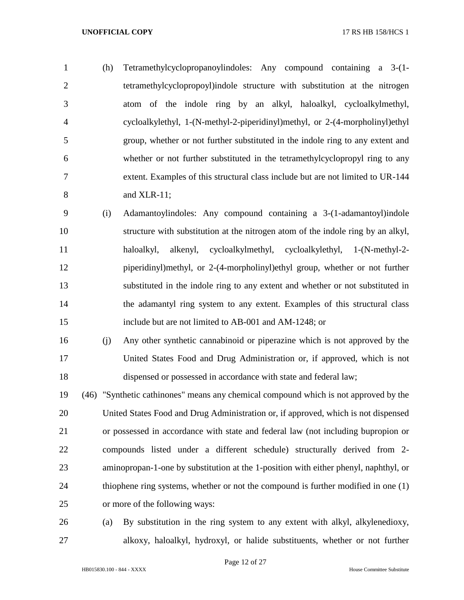(h) Tetramethylcyclopropanoylindoles: Any compound containing a 3-(1- tetramethylcyclopropoyl)indole structure with substitution at the nitrogen atom of the indole ring by an alkyl, haloalkyl, cycloalkylmethyl, cycloalkylethyl, 1-(N-methyl-2-piperidinyl)methyl, or 2-(4-morpholinyl)ethyl group, whether or not further substituted in the indole ring to any extent and whether or not further substituted in the tetramethylcyclopropyl ring to any extent. Examples of this structural class include but are not limited to UR-144 and XLR-11;

- (i) Adamantoylindoles: Any compound containing a 3-(1-adamantoyl)indole structure with substitution at the nitrogen atom of the indole ring by an alkyl, haloalkyl, alkenyl, cycloalkylmethyl, cycloalkylethyl, 1-(N-methyl-2- piperidinyl)methyl, or 2-(4-morpholinyl)ethyl group, whether or not further substituted in the indole ring to any extent and whether or not substituted in the adamantyl ring system to any extent. Examples of this structural class include but are not limited to AB-001 and AM-1248; or
- (j) Any other synthetic cannabinoid or piperazine which is not approved by the United States Food and Drug Administration or, if approved, which is not dispensed or possessed in accordance with state and federal law;
- (46) "Synthetic cathinones" means any chemical compound which is not approved by the United States Food and Drug Administration or, if approved, which is not dispensed or possessed in accordance with state and federal law (not including bupropion or compounds listed under a different schedule) structurally derived from 2- aminopropan-1-one by substitution at the 1-position with either phenyl, naphthyl, or thiophene ring systems, whether or not the compound is further modified in one (1) or more of the following ways:
- (a) By substitution in the ring system to any extent with alkyl, alkylenedioxy, alkoxy, haloalkyl, hydroxyl, or halide substituents, whether or not further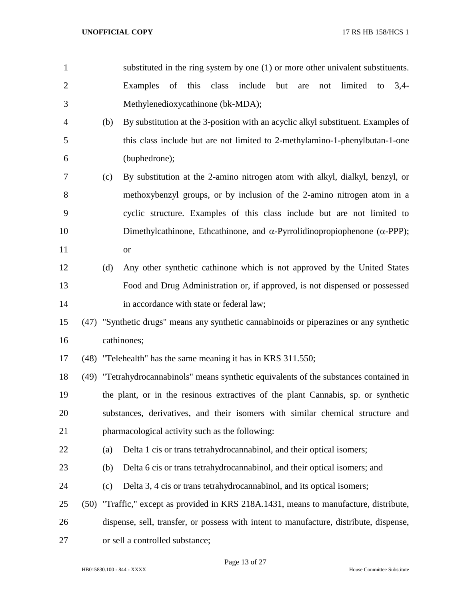|                |     | substituted in the ring system by one (1) or more other univalent substituents.  |  |  |  |  |  |
|----------------|-----|----------------------------------------------------------------------------------|--|--|--|--|--|
| 2              |     | Examples of this class include but are not limited to 3,4-                       |  |  |  |  |  |
| 3              |     | Methylenedioxycathinone (bk-MDA);                                                |  |  |  |  |  |
| $\overline{4}$ | (b) | By substitution at the 3-position with an acyclic alkyl substituent. Examples of |  |  |  |  |  |

- this class include but are not limited to 2-methylamino-1-phenylbutan-1-one (buphedrone);
- (c) By substitution at the 2-amino nitrogen atom with alkyl, dialkyl, benzyl, or methoxybenzyl groups, or by inclusion of the 2-amino nitrogen atom in a cyclic structure. Examples of this class include but are not limited to 10 Dimethylcathinone, Ethcathinone, and  $\alpha$ -Pyrrolidinopropiophenone ( $\alpha$ -PPP); or
- (d) Any other synthetic cathinone which is not approved by the United States Food and Drug Administration or, if approved, is not dispensed or possessed **in accordance with state or federal law**:
- (47) "Synthetic drugs" means any synthetic cannabinoids or piperazines or any synthetic cathinones;
- (48) "Telehealth" has the same meaning it has in KRS 311.550;

 (49) "Tetrahydrocannabinols" means synthetic equivalents of the substances contained in the plant, or in the resinous extractives of the plant Cannabis, sp. or synthetic substances, derivatives, and their isomers with similar chemical structure and pharmacological activity such as the following:

- (a) Delta 1 cis or trans tetrahydrocannabinol, and their optical isomers;
- (b) Delta 6 cis or trans tetrahydrocannabinol, and their optical isomers; and
- (c) Delta 3, 4 cis or trans tetrahydrocannabinol, and its optical isomers;
- (50) "Traffic," except as provided in KRS 218A.1431, means to manufacture, distribute,
- dispense, sell, transfer, or possess with intent to manufacture, distribute, dispense,
- or sell a controlled substance;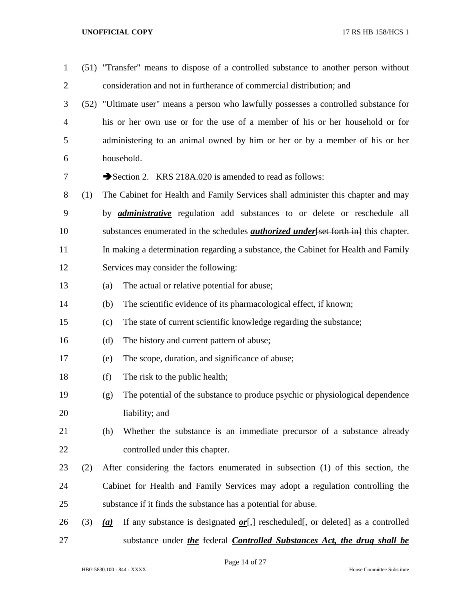| $\mathbf{1}$   |     |     | (51) "Transfer" means to dispose of a controlled substance to another person without                 |
|----------------|-----|-----|------------------------------------------------------------------------------------------------------|
| $\overline{2}$ |     |     | consideration and not in furtherance of commercial distribution; and                                 |
| 3              |     |     | (52) "Ultimate user" means a person who lawfully possesses a controlled substance for                |
| 4              |     |     | his or her own use or for the use of a member of his or her household or for                         |
| 5              |     |     | administering to an animal owned by him or her or by a member of his or her                          |
| 6              |     |     | household.                                                                                           |
| 7              |     |     | Section 2. KRS 218A.020 is amended to read as follows:                                               |
| 8              | (1) |     | The Cabinet for Health and Family Services shall administer this chapter and may                     |
| 9              |     |     | by <i>administrative</i> regulation add substances to or delete or reschedule all                    |
| 10             |     |     | substances enumerated in the schedules <i>authorized under</i> [set forth in] this chapter.          |
| 11             |     |     | In making a determination regarding a substance, the Cabinet for Health and Family                   |
| 12             |     |     | Services may consider the following:                                                                 |
| 13             |     | (a) | The actual or relative potential for abuse;                                                          |
| 14             |     | (b) | The scientific evidence of its pharmacological effect, if known;                                     |
| 15             |     | (c) | The state of current scientific knowledge regarding the substance;                                   |
| 16             |     | (d) | The history and current pattern of abuse;                                                            |
| 17             |     | (e) | The scope, duration, and significance of abuse;                                                      |
| 18             |     | (f) | The risk to the public health;                                                                       |
| 19             |     | (g) | The potential of the substance to produce psychic or physiological dependence                        |
| 20             |     |     | liability; and                                                                                       |
| 21             |     | (h) | Whether the substance is an immediate precursor of a substance already                               |
| 22             |     |     | controlled under this chapter.                                                                       |
| 23             | (2) |     | After considering the factors enumerated in subsection (1) of this section, the                      |
| 24             |     |     | Cabinet for Health and Family Services may adopt a regulation controlling the                        |
| 25             |     |     | substance if it finds the substance has a potential for abuse.                                       |
| 26             | (3) | (a) | If any substance is designated $or \rightarrow$ rescheduled $\rightarrow$ or deleted as a controlled |
| 27             |     |     | substance under <i>the</i> federal <i>Controlled Substances Act, the drug shall be</i>               |

Page 14 of 27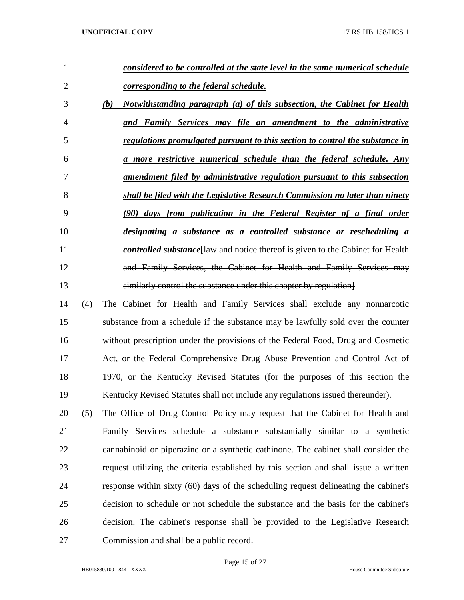| 1              |     | considered to be controlled at the state level in the same numerical schedule         |
|----------------|-----|---------------------------------------------------------------------------------------|
| $\overline{2}$ |     | corresponding to the federal schedule.                                                |
| 3              |     | Notwithstanding paragraph (a) of this subsection, the Cabinet for Health<br>(b)       |
| 4              |     | and Family Services may file an amendment to the administrative                       |
| 5              |     | regulations promulgated pursuant to this section to control the substance in          |
| 6              |     | a more restrictive numerical schedule than the federal schedule. Any                  |
| 7              |     | <u>amendment filed by administrative regulation pursuant to this subsection</u>       |
| 8              |     | shall be filed with the Legislative Research Commission no later than ninety          |
| 9              |     | (90) days from publication in the Federal Register of a final order                   |
| 10             |     | designating a substance as a controlled substance or rescheduling a                   |
| 11             |     | <i>controlled substance</i> Haw and notice thereof is given to the Cabinet for Health |
| 12             |     | and Family Services, the Cabinet for Health and Family Services may                   |
| 13             |     | similarly control the substance under this chapter by regulation.                     |
| 14             | (4) | The Cabinet for Health and Family Services shall exclude any nonnarcotic              |
| 15             |     | substance from a schedule if the substance may be lawfully sold over the counter      |
| 16             |     | without prescription under the provisions of the Federal Food, Drug and Cosmetic      |
| 17             |     | Act, or the Federal Comprehensive Drug Abuse Prevention and Control Act of            |
| 18             |     | 1970, or the Kentucky Revised Statutes (for the purposes of this section the          |
| 19             |     | Kentucky Revised Statutes shall not include any regulations issued thereunder).       |
| 20             | (5) | The Office of Drug Control Policy may request that the Cabinet for Health and         |
| 21             |     | Family Services schedule a substance substantially similar to a synthetic             |
| 22             |     | cannabinoid or piperazine or a synthetic cathinone. The cabinet shall consider the    |
| 23             |     | request utilizing the criteria established by this section and shall issue a written  |
| 24             |     | response within sixty (60) days of the scheduling request delineating the cabinet's   |
| 25             |     | decision to schedule or not schedule the substance and the basis for the cabinet's    |
| 26             |     | decision. The cabinet's response shall be provided to the Legislative Research        |
| 27             |     | Commission and shall be a public record.                                              |

Page 15 of 27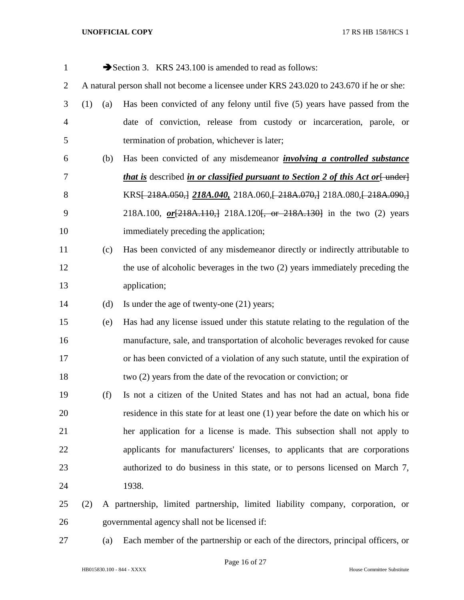| $\mathbf{1}$   |     |     | Section 3. KRS 243.100 is amended to read as follows:                                          |
|----------------|-----|-----|------------------------------------------------------------------------------------------------|
| $\overline{2}$ |     |     | A natural person shall not become a licensee under KRS 243.020 to 243.670 if he or she:        |
| 3              | (1) | (a) | Has been convicted of any felony until five (5) years have passed from the                     |
| $\overline{4}$ |     |     | date of conviction, release from custody or incarceration, parole, or                          |
| 5              |     |     | termination of probation, whichever is later;                                                  |
| 6              |     | (b) | Has been convicted of any misdemeanor <i>involving a controlled substance</i>                  |
| 7              |     |     | <i>that is</i> described <i>in or classified pursuant to Section 2 of this Act or</i> [ under] |
| 8              |     |     | KRS <del>[218A.050,]</del> 218A.040, 218A.060, [218A.070,] 218A.080, [218A.090,]               |
| 9              |     |     | 218A.100, or [218A.110,] 218A.120 [, or 218A.130] in the two (2) years                         |
| 10             |     |     | immediately preceding the application;                                                         |
| 11             |     | (c) | Has been convicted of any misdemeanor directly or indirectly attributable to                   |
| 12             |     |     | the use of alcoholic beverages in the two $(2)$ years immediately preceding the                |
| 13             |     |     | application;                                                                                   |
| 14             |     | (d) | Is under the age of twenty-one (21) years;                                                     |
| 15             |     | (e) | Has had any license issued under this statute relating to the regulation of the                |
| 16             |     |     | manufacture, sale, and transportation of alcoholic beverages revoked for cause                 |
| 17             |     |     | or has been convicted of a violation of any such statute, until the expiration of              |
| 18             |     |     | two (2) years from the date of the revocation or conviction; or                                |
| 19             |     | (f) | Is not a citizen of the United States and has not had an actual, bona fide                     |
| 20             |     |     | residence in this state for at least one (1) year before the date on which his or              |
| 21             |     |     | her application for a license is made. This subsection shall not apply to                      |
| 22             |     |     | applicants for manufacturers' licenses, to applicants that are corporations                    |
| 23             |     |     | authorized to do business in this state, or to persons licensed on March 7,                    |
| 24             |     |     | 1938.                                                                                          |
| 25             | (2) |     | A partnership, limited partnership, limited liability company, corporation, or                 |
| 26             |     |     | governmental agency shall not be licensed if:                                                  |

(a) Each member of the partnership or each of the directors, principal officers, or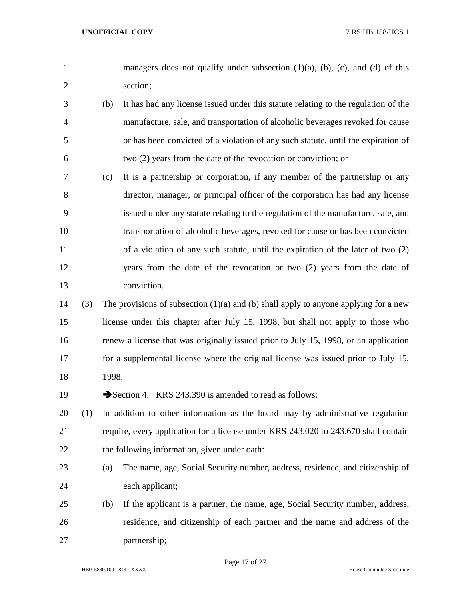- 1 managers does not qualify under subsection (1)(a), (b), (c), and (d) of this section;
- (b) It has had any license issued under this statute relating to the regulation of the manufacture, sale, and transportation of alcoholic beverages revoked for cause or has been convicted of a violation of any such statute, until the expiration of two (2) years from the date of the revocation or conviction; or
- (c) It is a partnership or corporation, if any member of the partnership or any director, manager, or principal officer of the corporation has had any license issued under any statute relating to the regulation of the manufacture, sale, and transportation of alcoholic beverages, revoked for cause or has been convicted of a violation of any such statute, until the expiration of the later of two (2) years from the date of the revocation or two (2) years from the date of conviction.
- 14 (3) The provisions of subsection  $(1)(a)$  and (b) shall apply to anyone applying for a new license under this chapter after July 15, 1998, but shall not apply to those who renew a license that was originally issued prior to July 15, 1998, or an application for a supplemental license where the original license was issued prior to July 15, 1998.

19 Section 4. KRS 243.390 is amended to read as follows:

- (1) In addition to other information as the board may by administrative regulation require, every application for a license under KRS 243.020 to 243.670 shall contain 22 the following information, given under oath:
- (a) The name, age, Social Security number, address, residence, and citizenship of each applicant;
- (b) If the applicant is a partner, the name, age, Social Security number, address, residence, and citizenship of each partner and the name and address of the partnership;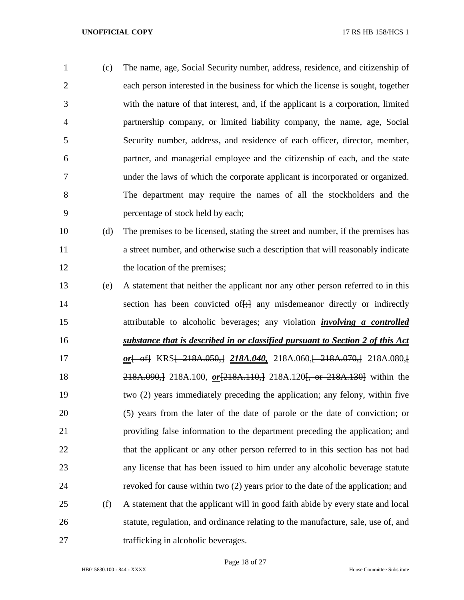(c) The name, age, Social Security number, address, residence, and citizenship of each person interested in the business for which the license is sought, together with the nature of that interest, and, if the applicant is a corporation, limited partnership company, or limited liability company, the name, age, Social Security number, address, and residence of each officer, director, member, partner, and managerial employee and the citizenship of each, and the state under the laws of which the corporate applicant is incorporated or organized. The department may require the names of all the stockholders and the percentage of stock held by each;

- (d) The premises to be licensed, stating the street and number, if the premises has a street number, and otherwise such a description that will reasonably indicate 12 the location of the premises;
- (e) A statement that neither the applicant nor any other person referred to in this 14 section has been convicted of  $\frac{1}{2}$  any misdemeanor directly or indirectly attributable to alcoholic beverages; any violation *involving a controlled substance that is described in or classified pursuant to Section 2 of this Act*  17 *or*<sub>[ of</sub>] KRS<sub>1</sub> 218A.050, 218A.040, 218A.060, 218A.070, 218A.080, 218A.090,] 218A.100, *or*[218A.110,] 218A.120[, or 218A.130] within the two (2) years immediately preceding the application; any felony, within five (5) years from the later of the date of parole or the date of conviction; or providing false information to the department preceding the application; and 22 that the applicant or any other person referred to in this section has not had any license that has been issued to him under any alcoholic beverage statute revoked for cause within two (2) years prior to the date of the application; and (f) A statement that the applicant will in good faith abide by every state and local statute, regulation, and ordinance relating to the manufacture, sale, use of, and 27 trafficking in alcoholic beverages.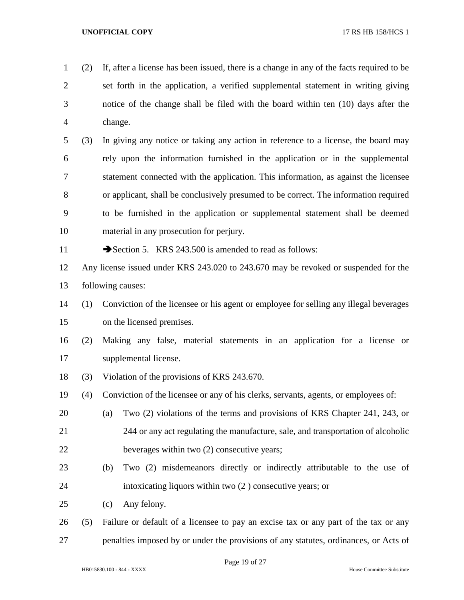- (2) If, after a license has been issued, there is a change in any of the facts required to be set forth in the application, a verified supplemental statement in writing giving notice of the change shall be filed with the board within ten (10) days after the change.
- (3) In giving any notice or taking any action in reference to a license, the board may rely upon the information furnished in the application or in the supplemental statement connected with the application. This information, as against the licensee or applicant, shall be conclusively presumed to be correct. The information required to be furnished in the application or supplemental statement shall be deemed material in any prosecution for perjury.
- 

11 Section 5. KRS 243.500 is amended to read as follows:

- Any license issued under KRS 243.020 to 243.670 may be revoked or suspended for the following causes:
- (1) Conviction of the licensee or his agent or employee for selling any illegal beverages on the licensed premises.
- (2) Making any false, material statements in an application for a license or supplemental license.
- (3) Violation of the provisions of KRS 243.670.
- (4) Conviction of the licensee or any of his clerks, servants, agents, or employees of:
- (a) Two (2) violations of the terms and provisions of KRS Chapter 241, 243, or 244 or any act regulating the manufacture, sale, and transportation of alcoholic beverages within two (2) consecutive years;
- (b) Two (2) misdemeanors directly or indirectly attributable to the use of intoxicating liquors within two (2 ) consecutive years; or
- (c) Any felony.
- (5) Failure or default of a licensee to pay an excise tax or any part of the tax or any penalties imposed by or under the provisions of any statutes, ordinances, or Acts of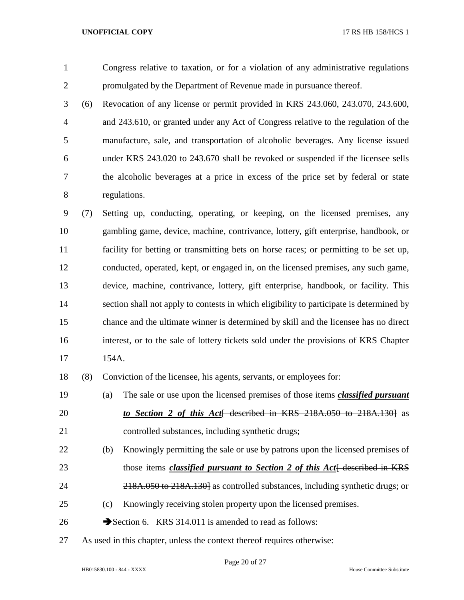Congress relative to taxation, or for a violation of any administrative regulations promulgated by the Department of Revenue made in pursuance thereof.

 (6) Revocation of any license or permit provided in KRS 243.060, 243.070, 243.600, and 243.610, or granted under any Act of Congress relative to the regulation of the manufacture, sale, and transportation of alcoholic beverages. Any license issued under KRS 243.020 to 243.670 shall be revoked or suspended if the licensee sells the alcoholic beverages at a price in excess of the price set by federal or state regulations.

 (7) Setting up, conducting, operating, or keeping, on the licensed premises, any gambling game, device, machine, contrivance, lottery, gift enterprise, handbook, or facility for betting or transmitting bets on horse races; or permitting to be set up, conducted, operated, kept, or engaged in, on the licensed premises, any such game, device, machine, contrivance, lottery, gift enterprise, handbook, or facility. This section shall not apply to contests in which eligibility to participate is determined by chance and the ultimate winner is determined by skill and the licensee has no direct interest, or to the sale of lottery tickets sold under the provisions of KRS Chapter 154A.

(8) Conviction of the licensee, his agents, servants, or employees for:

- (a) The sale or use upon the licensed premises of those items *classified pursuant*  **to Section 2 of this Act** described in KRS 218A.050 to 218A.1301 as controlled substances, including synthetic drugs;
- (b) Knowingly permitting the sale or use by patrons upon the licensed premises of 23 those items *classified pursuant to Section 2 of this Act* + described in KRS
- 24 218A.050 to 218A.130 as controlled substances, including synthetic drugs; or
- (c) Knowingly receiving stolen property upon the licensed premises.
- 26  $\rightarrow$  Section 6. KRS 314.011 is amended to read as follows:
- As used in this chapter, unless the context thereof requires otherwise: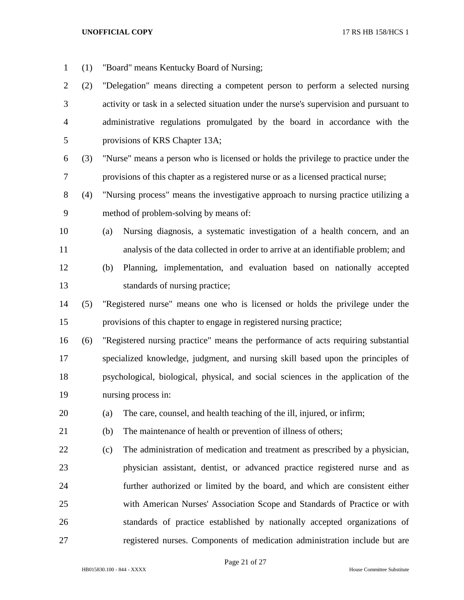- (1) "Board" means Kentucky Board of Nursing;
- (2) "Delegation" means directing a competent person to perform a selected nursing activity or task in a selected situation under the nurse's supervision and pursuant to administrative regulations promulgated by the board in accordance with the provisions of KRS Chapter 13A;
- (3) "Nurse" means a person who is licensed or holds the privilege to practice under the provisions of this chapter as a registered nurse or as a licensed practical nurse;
- (4) "Nursing process" means the investigative approach to nursing practice utilizing a method of problem-solving by means of:
- (a) Nursing diagnosis, a systematic investigation of a health concern, and an analysis of the data collected in order to arrive at an identifiable problem; and
- (b) Planning, implementation, and evaluation based on nationally accepted standards of nursing practice;
- (5) "Registered nurse" means one who is licensed or holds the privilege under the provisions of this chapter to engage in registered nursing practice;
- (6) "Registered nursing practice" means the performance of acts requiring substantial specialized knowledge, judgment, and nursing skill based upon the principles of psychological, biological, physical, and social sciences in the application of the nursing process in:
- (a) The care, counsel, and health teaching of the ill, injured, or infirm;
- (b) The maintenance of health or prevention of illness of others;
- (c) The administration of medication and treatment as prescribed by a physician, physician assistant, dentist, or advanced practice registered nurse and as further authorized or limited by the board, and which are consistent either with American Nurses' Association Scope and Standards of Practice or with standards of practice established by nationally accepted organizations of registered nurses. Components of medication administration include but are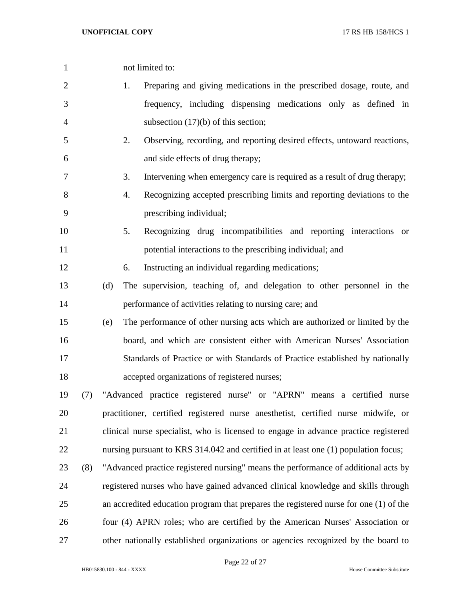| $\mathbf{1}$   |     |     |    | not limited to:                                                                         |
|----------------|-----|-----|----|-----------------------------------------------------------------------------------------|
| $\overline{2}$ |     |     | 1. | Preparing and giving medications in the prescribed dosage, route, and                   |
| 3              |     |     |    | frequency, including dispensing medications only as defined in                          |
| 4              |     |     |    | subsection $(17)(b)$ of this section;                                                   |
| 5              |     |     | 2. | Observing, recording, and reporting desired effects, untoward reactions,                |
| 6              |     |     |    | and side effects of drug therapy;                                                       |
| 7              |     |     | 3. | Intervening when emergency care is required as a result of drug therapy;                |
| 8              |     |     | 4. | Recognizing accepted prescribing limits and reporting deviations to the                 |
| 9              |     |     |    | prescribing individual;                                                                 |
| 10             |     |     | 5. | Recognizing drug incompatibilities and reporting interactions<br><sub>or</sub>          |
| 11             |     |     |    | potential interactions to the prescribing individual; and                               |
| 12             |     |     | 6. | Instructing an individual regarding medications;                                        |
| 13             |     | (d) |    | The supervision, teaching of, and delegation to other personnel in the                  |
| 14             |     |     |    | performance of activities relating to nursing care; and                                 |
| 15             |     | (e) |    | The performance of other nursing acts which are authorized or limited by the            |
| 16             |     |     |    | board, and which are consistent either with American Nurses' Association                |
| 17             |     |     |    | Standards of Practice or with Standards of Practice established by nationally           |
| 18             |     |     |    | accepted organizations of registered nurses;                                            |
| 19             | (7) |     |    | "Advanced practice registered nurse" or "APRN" means a certified nurse                  |
| 20             |     |     |    | practitioner, certified registered nurse anesthetist, certified nurse midwife, or       |
| 21             |     |     |    | clinical nurse specialist, who is licensed to engage in advance practice registered     |
| 22             |     |     |    | nursing pursuant to KRS 314.042 and certified in at least one (1) population focus;     |
| 23             | (8) |     |    | "Advanced practice registered nursing" means the performance of additional acts by      |
| 24             |     |     |    | registered nurses who have gained advanced clinical knowledge and skills through        |
| 25             |     |     |    | an accredited education program that prepares the registered nurse for one $(1)$ of the |
| 26             |     |     |    | four (4) APRN roles; who are certified by the American Nurses' Association or           |
| 27             |     |     |    | other nationally established organizations or agencies recognized by the board to       |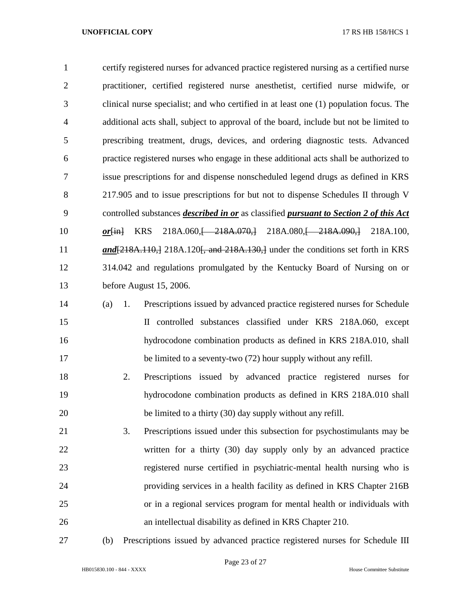certify registered nurses for advanced practice registered nursing as a certified nurse practitioner, certified registered nurse anesthetist, certified nurse midwife, or clinical nurse specialist; and who certified in at least one (1) population focus. The additional acts shall, subject to approval of the board, include but not be limited to prescribing treatment, drugs, devices, and ordering diagnostic tests. Advanced practice registered nurses who engage in these additional acts shall be authorized to issue prescriptions for and dispense nonscheduled legend drugs as defined in KRS 217.905 and to issue prescriptions for but not to dispense Schedules II through V controlled substances *described in or* as classified *pursuant to Section 2 of this Act or*<sub>[in]</sub> KRS 218A.060, 218A.070, 218A.080, 218A.090, 218A.100, *and*[218A.110,] 218A.120, and 218A.130,] under the conditions set forth in KRS 314.042 and regulations promulgated by the Kentucky Board of Nursing on or before August 15, 2006. (a) 1. Prescriptions issued by advanced practice registered nurses for Schedule

- II controlled substances classified under KRS 218A.060, except hydrocodone combination products as defined in KRS 218A.010, shall 17 be limited to a seventy-two (72) hour supply without any refill.
- 2. Prescriptions issued by advanced practice registered nurses for hydrocodone combination products as defined in KRS 218A.010 shall be limited to a thirty (30) day supply without any refill.
- 3. Prescriptions issued under this subsection for psychostimulants may be written for a thirty (30) day supply only by an advanced practice registered nurse certified in psychiatric-mental health nursing who is providing services in a health facility as defined in KRS Chapter 216B or in a regional services program for mental health or individuals with an intellectual disability as defined in KRS Chapter 210.
- 

(b) Prescriptions issued by advanced practice registered nurses for Schedule III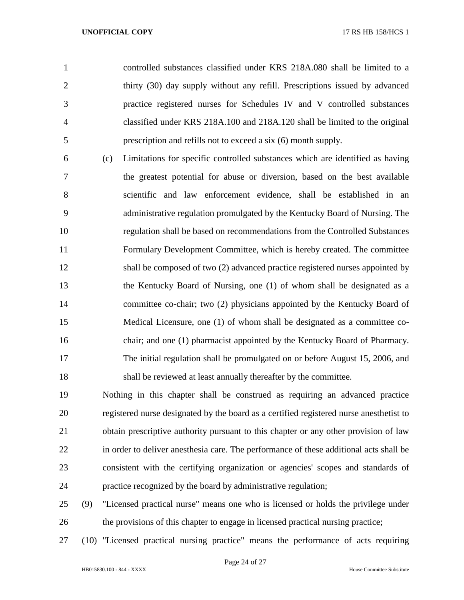controlled substances classified under KRS 218A.080 shall be limited to a thirty (30) day supply without any refill. Prescriptions issued by advanced practice registered nurses for Schedules IV and V controlled substances classified under KRS 218A.100 and 218A.120 shall be limited to the original prescription and refills not to exceed a six (6) month supply.

 (c) Limitations for specific controlled substances which are identified as having the greatest potential for abuse or diversion, based on the best available scientific and law enforcement evidence, shall be established in an administrative regulation promulgated by the Kentucky Board of Nursing. The regulation shall be based on recommendations from the Controlled Substances Formulary Development Committee, which is hereby created. The committee shall be composed of two (2) advanced practice registered nurses appointed by the Kentucky Board of Nursing, one (1) of whom shall be designated as a committee co-chair; two (2) physicians appointed by the Kentucky Board of Medical Licensure, one (1) of whom shall be designated as a committee co- chair; and one (1) pharmacist appointed by the Kentucky Board of Pharmacy. The initial regulation shall be promulgated on or before August 15, 2006, and shall be reviewed at least annually thereafter by the committee.

 Nothing in this chapter shall be construed as requiring an advanced practice registered nurse designated by the board as a certified registered nurse anesthetist to 21 obtain prescriptive authority pursuant to this chapter or any other provision of law in order to deliver anesthesia care. The performance of these additional acts shall be consistent with the certifying organization or agencies' scopes and standards of practice recognized by the board by administrative regulation;

- (9) "Licensed practical nurse" means one who is licensed or holds the privilege under the provisions of this chapter to engage in licensed practical nursing practice;
- (10) "Licensed practical nursing practice" means the performance of acts requiring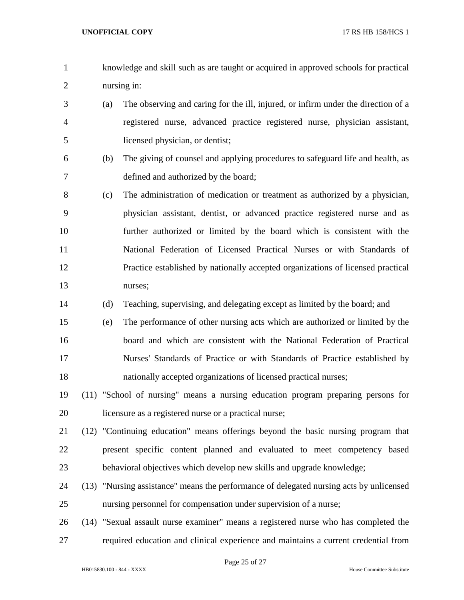- knowledge and skill such as are taught or acquired in approved schools for practical nursing in:
- (a) The observing and caring for the ill, injured, or infirm under the direction of a registered nurse, advanced practice registered nurse, physician assistant, licensed physician, or dentist;
- (b) The giving of counsel and applying procedures to safeguard life and health, as defined and authorized by the board;
- (c) The administration of medication or treatment as authorized by a physician, physician assistant, dentist, or advanced practice registered nurse and as further authorized or limited by the board which is consistent with the National Federation of Licensed Practical Nurses or with Standards of Practice established by nationally accepted organizations of licensed practical nurses;
- (d) Teaching, supervising, and delegating except as limited by the board; and
- (e) The performance of other nursing acts which are authorized or limited by the board and which are consistent with the National Federation of Practical Nurses' Standards of Practice or with Standards of Practice established by nationally accepted organizations of licensed practical nurses;
- (11) "School of nursing" means a nursing education program preparing persons for licensure as a registered nurse or a practical nurse;
- (12) "Continuing education" means offerings beyond the basic nursing program that present specific content planned and evaluated to meet competency based behavioral objectives which develop new skills and upgrade knowledge;
- (13) "Nursing assistance" means the performance of delegated nursing acts by unlicensed nursing personnel for compensation under supervision of a nurse;
- (14) "Sexual assault nurse examiner" means a registered nurse who has completed the required education and clinical experience and maintains a current credential from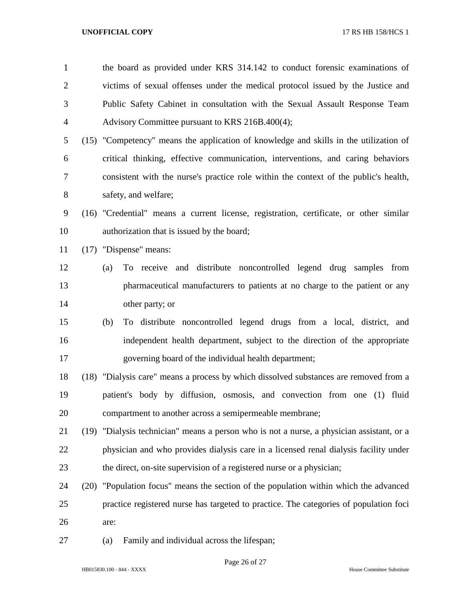| $\mathbf{1}$   |      | the board as provided under KRS 314.142 to conduct forensic examinations of               |
|----------------|------|-------------------------------------------------------------------------------------------|
| $\overline{2}$ |      | victims of sexual offenses under the medical protocol issued by the Justice and           |
| 3              |      | Public Safety Cabinet in consultation with the Sexual Assault Response Team               |
| 4              |      | Advisory Committee pursuant to KRS 216B.400(4);                                           |
| 5              |      | (15) "Competency" means the application of knowledge and skills in the utilization of     |
| 6              |      | critical thinking, effective communication, interventions, and caring behaviors           |
| 7              |      | consistent with the nurse's practice role within the context of the public's health,      |
| 8              |      | safety, and welfare;                                                                      |
| 9              |      | (16) "Credential" means a current license, registration, certificate, or other similar    |
| 10             |      | authorization that is issued by the board;                                                |
| 11             | (17) | "Dispense" means:                                                                         |
| 12             |      | To receive and distribute noncontrolled legend drug samples from<br>(a)                   |
| 13             |      | pharmaceutical manufacturers to patients at no charge to the patient or any               |
| 14             |      | other party; or                                                                           |
| 15             |      | To distribute noncontrolled legend drugs from a local, district, and<br>(b)               |
| 16             |      | independent health department, subject to the direction of the appropriate                |
| 17             |      | governing board of the individual health department;                                      |
| 18             |      | (18) "Dialysis care" means a process by which dissolved substances are removed from a     |
| 19             |      | patient's body by diffusion, osmosis, and convection from one (1) fluid                   |
| 20             |      | compartment to another across a semipermeable membrane;                                   |
| 21             |      | (19) "Dialysis technician" means a person who is not a nurse, a physician assistant, or a |
| 22             |      | physician and who provides dialysis care in a licensed renal dialysis facility under      |
| 23             |      | the direct, on-site supervision of a registered nurse or a physician;                     |
| 24             | (20) | "Population focus" means the section of the population within which the advanced          |
| 25             |      | practice registered nurse has targeted to practice. The categories of population foci     |
| 26             |      | are:                                                                                      |
| 27             |      | Family and individual across the lifespan;<br>(a)                                         |
|                |      |                                                                                           |

Page 26 of 27